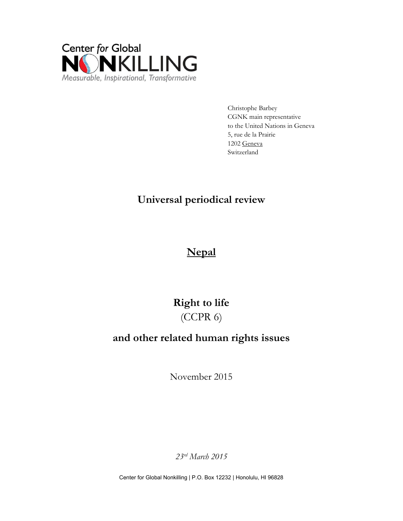

Christophe Barbey CGNK main representative to the United Nations in Geneva 5, rue de la Prairie 1202 Geneva Switzerland

## **Universal periodical review**

# **Nepal**

# **Right to life** (CCPR 6)

### **and other related human rights issues**

November 2015

*23rd March 2015*

Center for Global Nonkilling | P.O. Box 12232 | Honolulu, HI 96828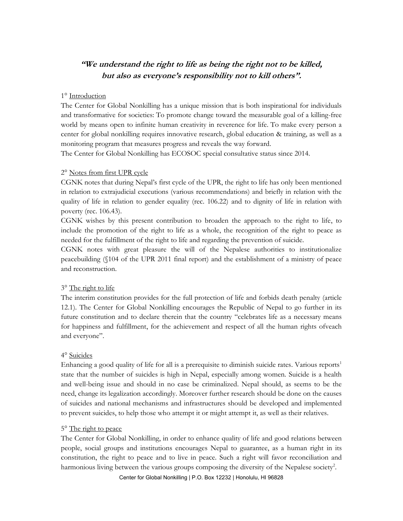### **"We understand the right to life as being the right not to be killed, but also as everyone's responsibility not to kill others".**

#### 1° Introduction

The Center for Global Nonkilling has a unique mission that is both inspirational for individuals and transformative for societies: To promote change toward the measurable goal of a killing-free world by means open to infinite human creativity in reverence for life. To make every person a center for global nonkilling requires innovative research, global education & training, as well as a monitoring program that measures progress and reveals the way forward.

The Center for Global Nonkilling has ECOSOC special consultative status since 2014.

#### 2° Notes from first UPR cycle

CGNK notes that during Nepal's first cycle of the UPR, the right to life has only been mentioned in relation to extrajudicial executions (various recommendations) and briefly in relation with the quality of life in relation to gender equality (rec. 106.22) and to dignity of life in relation with poverty (rec. 106.43).

CGNK wishes by this present contribution to broaden the approach to the right to life, to include the promotion of the right to life as a whole, the recognition of the right to peace as needed for the fulfillment of the right to life and regarding the prevention of suicide.

CGNK notes with great pleasure the will of the Nepalese authorities to institutionalize peacebuilding (§104 of the UPR 2011 final report) and the establishment of a ministry of peace and reconstruction.

#### 3° The right to life

The interim constitution provides for the full protection of life and forbids death penalty (article 12.1). The Center for Global Nonkilling encourages the Republic of Nepal to go further in its future constitution and to declare therein that the country "celebrates life as a necessary means for happiness and fulfillment, for the achievement and respect of all the human rights ofveach and everyone".

#### 4° Suicides

Enhancing a good quality of life for all is a prerequisite to diminish suicide rates. Various reports<sup>1</sup> state that the number of suicides is high in Nepal, especially among women. Suicide is a health and well-being issue and should in no case be criminalized. Nepal should, as seems to be the need, change its legalization accordingly. Moreover further research should be done on the causes of suicides and national mechanisms and infrastructures should be developed and implemented to prevent suicides, to help those who attempt it or might attempt it, as well as their relatives.

#### 5° The right to peace

The Center for Global Nonkilling, in order to enhance quality of life and good relations between people, social groups and institutions encourages Nepal to guarantee, as a human right in its constitution, the right to peace and to live in peace. Such a right will favor reconciliation and harmonious living between the various groups composing the diversity of the Nepalese society<sup>2</sup>.

Center for Global Nonkilling | P.O. Box 12232 | Honolulu, HI 96828